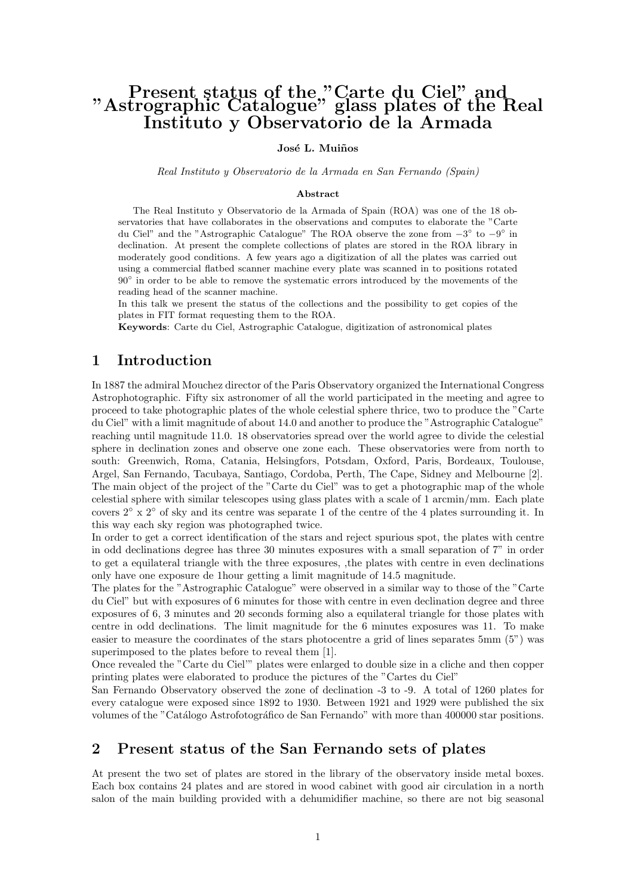# Present status of the "Carte du Ciel" and "Astrographic Catalogue" glass plates of the Real Instituto y Observatorio de la Armada

José L. Muiños

Real Instituto y Observatorio de la Armada en San Fernando (Spain)

#### Abstract

The Real Instituto y Observatorio de la Armada of Spain (ROA) was one of the 18 observatories that have collaborates in the observations and computes to elaborate the "Carte du Ciel" and the "Astrographic Catalogue" The ROA observe the zone from  $-3^{\circ}$  to  $-9^{\circ}$  in declination. At present the complete collections of plates are stored in the ROA library in moderately good conditions. A few years ago a digitization of all the plates was carried out using a commercial flatbed scanner machine every plate was scanned in to positions rotated 90° in order to be able to remove the systematic errors introduced by the movements of the reading head of the scanner machine.

In this talk we present the status of the collections and the possibility to get copies of the plates in FIT format requesting them to the ROA.

Keywords: Carte du Ciel, Astrographic Catalogue, digitization of astronomical plates

#### 1 Introduction

In 1887 the admiral Mouchez director of the Paris Observatory organized the International Congress Astrophotographic. Fifty six astronomer of all the world participated in the meeting and agree to proceed to take photographic plates of the whole celestial sphere thrice, two to produce the "Carte du Ciel" with a limit magnitude of about 14.0 and another to produce the "Astrographic Catalogue" reaching until magnitude 11.0. 18 observatories spread over the world agree to divide the celestial sphere in declination zones and observe one zone each. These observatories were from north to south: Greenwich, Roma, Catania, Helsingfors, Potsdam, Oxford, Paris, Bordeaux, Toulouse, Argel, San Fernando, Tacubaya, Santiago, Cordoba, Perth, The Cape, Sidney and Melbourne [2]. The main object of the project of the "Carte du Ciel" was to get a photographic map of the whole celestial sphere with similar telescopes using glass plates with a scale of 1 arcmin/mm. Each plate covers  $2° \times 2°$  of sky and its centre was separate 1 of the centre of the 4 plates surrounding it. In this way each sky region was photographed twice.

In order to get a correct identification of the stars and reject spurious spot, the plates with centre in odd declinations degree has three 30 minutes exposures with a small separation of 7" in order to get a equilateral triangle with the three exposures, ,the plates with centre in even declinations only have one exposure de 1hour getting a limit magnitude of 14.5 magnitude.

The plates for the "Astrographic Catalogue" were observed in a similar way to those of the "Carte du Ciel" but with exposures of 6 minutes for those with centre in even declination degree and three exposures of 6, 3 minutes and 20 seconds forming also a equilateral triangle for those plates with centre in odd declinations. The limit magnitude for the 6 minutes exposures was 11. To make easier to measure the coordinates of the stars photocentre a grid of lines separates 5mm (5") was superimposed to the plates before to reveal them [1].

Once revealed the "Carte du Ciel'" plates were enlarged to double size in a cliche and then copper printing plates were elaborated to produce the pictures of the "Cartes du Ciel"

San Fernando Observatory observed the zone of declination -3 to -9. A total of 1260 plates for every catalogue were exposed since 1892 to 1930. Between 1921 and 1929 were published the six volumes of the "Catálogo Astrofotográfico de San Fernando" with more than 400000 star positions.

#### 2 Present status of the San Fernando sets of plates

At present the two set of plates are stored in the library of the observatory inside metal boxes. Each box contains 24 plates and are stored in wood cabinet with good air circulation in a north salon of the main building provided with a dehumidifier machine, so there are not big seasonal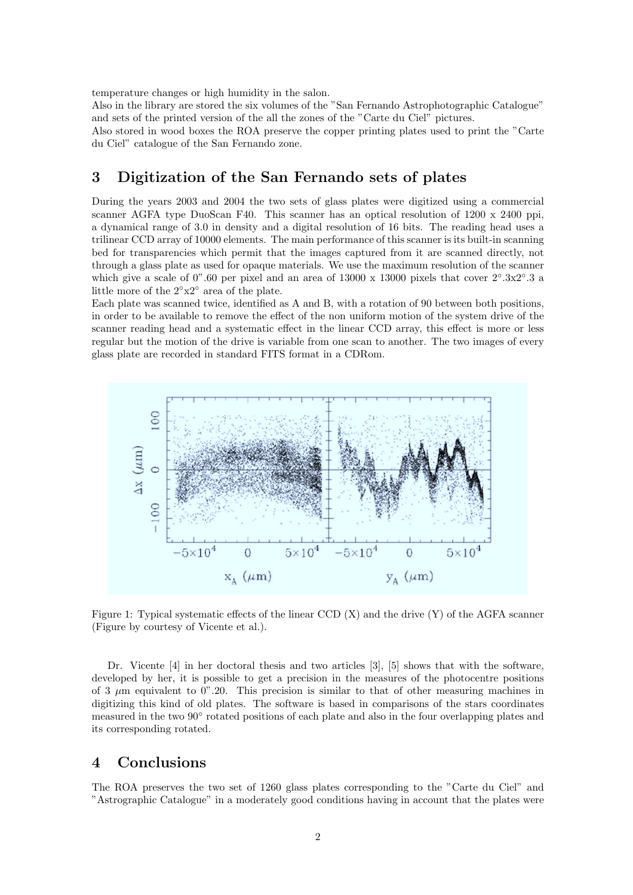temperature changes or high humidity in the salon.

Also in the library are stored the six volumes of the "San Fernando Astrophotographic Catalogue" and sets of the printed version of the all the zones of the "Carte du Ciel" pictures.

Also stored in wood boxes the ROA preserve the copper printing plates used to print the "Carte du Ciel" catalogue of the San Fernando zone.

#### 3 Digitization of the San Fernando sets of plates

During the years 2003 and 2004 the two sets of glass plates were digitized using a commercial scanner AGFA type DuoScan F40. This scanner has an optical resolution of 1200 x 2400 ppi, a dynamical range of 3.0 in density and a digital resolution of 16 bits. The reading head uses a trilinear CCD array of 10000 elements. The main performance of this scanner is its built-in scanning bed for transparencies which permit that the images captured from it are scanned directly, not through a glass plate as used for opaque materials. We use the maximum resolution of the scanner which give a scale of 0".60 per pixel and an area of 13000 x 13000 pixels that cover  $2°.3x2°.3$  a little more of the 2◦x2◦ area of the plate.

Each plate was scanned twice, identified as A and B, with a rotation of 90 between both positions, in order to be available to remove the effect of the non uniform motion of the system drive of the scanner reading head and a systematic effect in the linear CCD array, this effect is more or less regular but the motion of the drive is variable from one scan to another. The two images of every glass plate are recorded in standard FITS format in a CDRom.



Figure 1: Typical systematic effects of the linear CCD (X) and the drive (Y) of the AGFA scanner (Figure by courtesy of Vicente et al.).

Dr. Vicente [4] in her doctoral thesis and two articles [3], [5] shows that with the software, developed by her, it is possible to get a precision in the measures of the photocentre positions of 3  $\mu$ m equivalent to 0".20. This precision is similar to that of other measuring machines in digitizing this kind of old plates. The software is based in comparisons of the stars coordinates measured in the two 90° rotated positions of each plate and also in the four overlapping plates and its corresponding rotated.

### 4 Conclusions

The ROA preserves the two set of 1260 glass plates corresponding to the "Carte du Ciel" and "Astrographic Catalogue" in a moderately good conditions having in account that the plates were